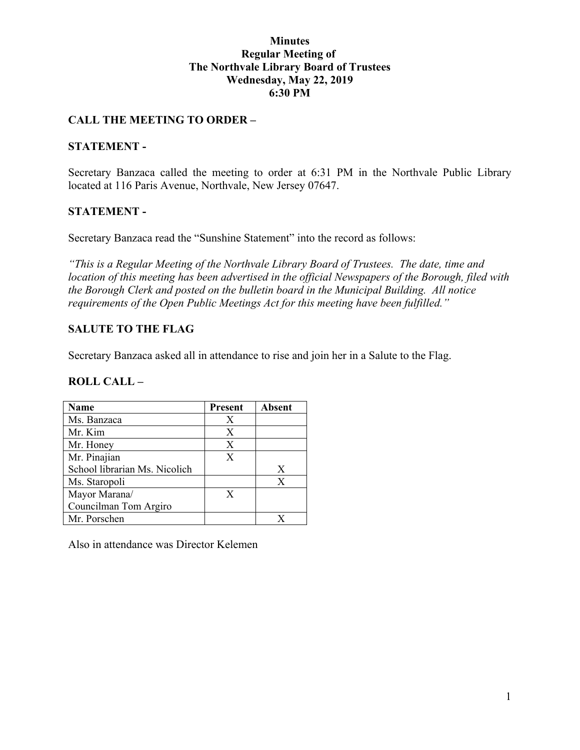### **Minutes Regular Meeting of The Northvale Library Board of Trustees Wednesday, May 22, 2019 6:30 PM**

## **CALL THE MEETING TO ORDER –**

### **STATEMENT -**

Secretary Banzaca called the meeting to order at 6:31 PM in the Northvale Public Library located at 116 Paris Avenue, Northvale, New Jersey 07647.

## **STATEMENT -**

Secretary Banzaca read the "Sunshine Statement" into the record as follows:

*"This is a Regular Meeting of the Northvale Library Board of Trustees. The date, time and location of this meeting has been advertised in the official Newspapers of the Borough, filed with the Borough Clerk and posted on the bulletin board in the Municipal Building. All notice requirements of the Open Public Meetings Act for this meeting have been fulfilled."* 

## **SALUTE TO THE FLAG**

Secretary Banzaca asked all in attendance to rise and join her in a Salute to the Flag.

#### **ROLL CALL –**

| Name                          | Present | <b>Absent</b> |
|-------------------------------|---------|---------------|
| Ms. Banzaca                   | Х       |               |
| Mr. Kim                       | Χ       |               |
| Mr. Honey                     | X       |               |
| Mr. Pinajian                  | X       |               |
| School librarian Ms. Nicolich |         | X             |
| Ms. Staropoli                 |         | X             |
| Mayor Marana/                 | X       |               |
| Councilman Tom Argiro         |         |               |
| Mr. Porschen                  |         | X             |

Also in attendance was Director Kelemen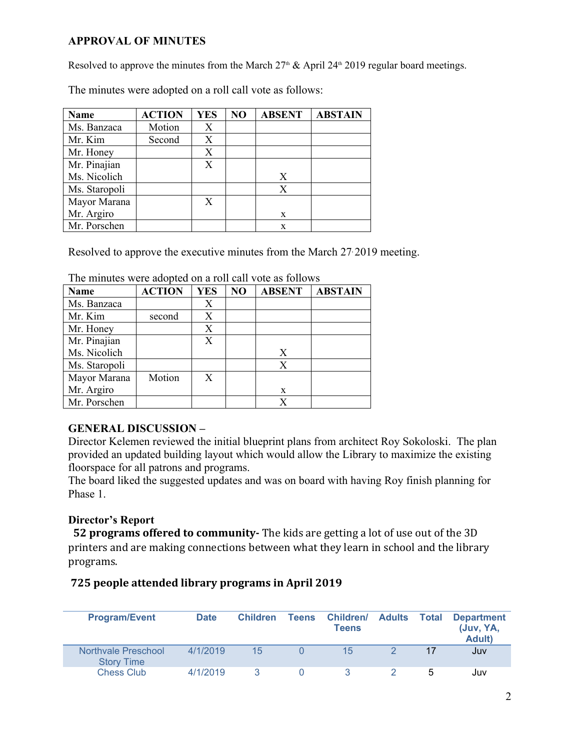## **APPROVAL OF MINUTES**

Mayor Marana X

Mr. Argiro

Resolved to approve the minutes from the March  $27<sup>th</sup>$  & April  $24<sup>th</sup>$  2019 regular board meetings.

 $X \parallel$   $\parallel$   $\parallel$ 

 $\mathbf{x}$  and  $\mathbf{x}$ 

**Name ACTION YES NO ABSENT ABSTAIN** Ms. Banzaca | Motion |  $X$ Mr. Kim Second X Mr. Honey X<br>
Mr. Pinajian X Mr. Pinajian Ms. Nicolich  $X \parallel$   $\parallel$   $\parallel$  $X \qquad \qquad$ 

The minutes were adopted on a roll call vote as follows:

Resolved to approve the executive minutes from the March 27, 2019 meeting.

| <b>Name</b>   | <b>ACTION</b> | <b>YES</b> | NO | <b>ABSENT</b> | <b>ABSTAIN</b> |
|---------------|---------------|------------|----|---------------|----------------|
| Ms. Banzaca   |               | Х          |    |               |                |
| Mr. Kim       | second        | X          |    |               |                |
| Mr. Honey     |               | X          |    |               |                |
| Mr. Pinajian  |               | X          |    |               |                |
| Ms. Nicolich  |               |            |    | X             |                |
| Ms. Staropoli |               |            |    | X             |                |
| Mayor Marana  | Motion        | X          |    |               |                |
| Mr. Argiro    |               |            |    | X             |                |
| Mr. Porschen  |               |            |    |               |                |

The minutes were adopted on a roll call vote as follows

Ms. Staropoli X

Mr. Porschen x

## **GENERAL DISCUSSION –**

Director Kelemen reviewed the initial blueprint plans from architect Roy Sokoloski. The plan provided an updated building layout which would allow the Library to maximize the existing floorspace for all patrons and programs.

The board liked the suggested updates and was on board with having Roy finish planning for Phase 1.

## **Director's Report**

 **52 programs offered to community-** The kids are getting a lot of use out of the 3D printers and are making connections between what they learn in school and the library programs.

## **725 people attended library programs in April 2019**

| <b>Program/Event</b>                     | <b>Date</b> | <b>Children</b> | Teens Children/ Adults Total<br>Teens |               | <b>Department</b><br>(Juv, YA,<br><b>Adult</b> ) |
|------------------------------------------|-------------|-----------------|---------------------------------------|---------------|--------------------------------------------------|
| Northvale Preschool<br><b>Story Time</b> | 4/1/2019    | 15              | 15                                    | 17            | Juv                                              |
| <b>Chess Club</b>                        | 4/1/2019    |                 |                                       | $\mathcal{D}$ | Juv                                              |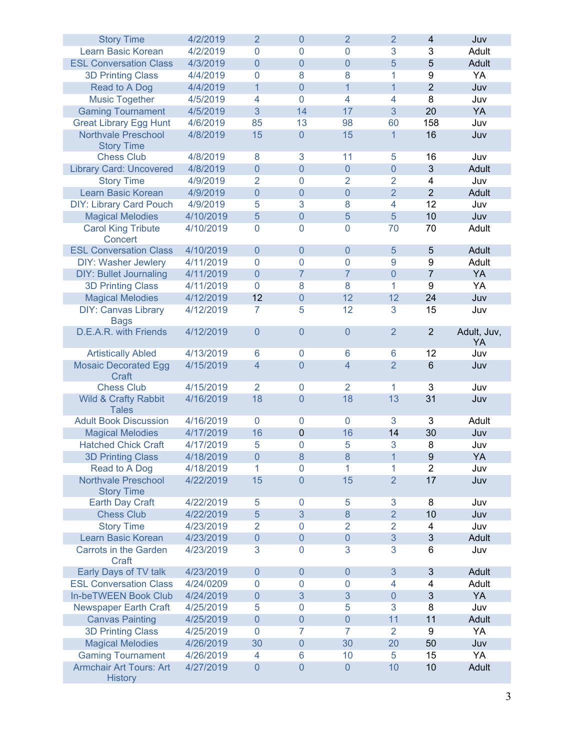| <b>Story Time</b>                                | 4/2/2019  | $\overline{2}$      | 0            | $\overline{2}$   | $\overline{2}$ | $\overline{4}$          | Juv         |
|--------------------------------------------------|-----------|---------------------|--------------|------------------|----------------|-------------------------|-------------|
| Learn Basic Korean                               | 4/2/2019  | $\mathbf{0}$        | $\mathbf{0}$ | 0                | 3              | 3                       | Adult       |
| <b>ESL Conversation Class</b>                    | 4/3/2019  | $\overline{0}$      | 0            | $\overline{0}$   | 5              | 5                       | Adult       |
| <b>3D Printing Class</b>                         | 4/4/2019  | 0                   | 8            | 8                | 1              | 9                       | YA          |
| Read to A Dog                                    | 4/4/2019  | $\mathbf{1}$        | 0            | $\mathbf{1}$     | $\mathbf{1}$   | $\overline{2}$          | Juv         |
| <b>Music Together</b>                            | 4/5/2019  | 4                   | 0            | 4                | 4              | 8                       | Juv         |
| <b>Gaming Tournament</b>                         | 4/5/2019  | 3                   | 14           | 17               | 3              | 20                      | YA          |
| <b>Great Library Egg Hunt</b>                    | 4/6/2019  | 85                  | 13           | 98               | 60             | 158                     | Juv         |
| <b>Northvale Preschool</b>                       | 4/8/2019  | 15                  | 0            | 15               | $\mathbf{1}$   | 16                      | Juv         |
| <b>Story Time</b>                                |           |                     |              |                  |                |                         |             |
| <b>Chess Club</b>                                | 4/8/2019  | 8                   | 3            | 11               | 5              | 16                      | Juv         |
| <b>Library Card: Uncovered</b>                   | 4/8/2019  | $\mathsf{O}\xspace$ | $\pmb{0}$    | $\boldsymbol{0}$ | $\pmb{0}$      | $\sqrt{3}$              | Adult       |
| <b>Story Time</b>                                | 4/9/2019  | $\overline{2}$      | $\mathbf 0$  | 2                | $\overline{2}$ | 4                       | Juv         |
| Learn Basic Korean                               | 4/9/2019  | $\boldsymbol{0}$    | 0            | $\mathbf 0$      | $\overline{2}$ | $\overline{2}$          | Adult       |
| <b>DIY: Library Card Pouch</b>                   | 4/9/2019  | 5                   | 3            | 8                | 4              | 12                      | Juv         |
| <b>Magical Melodies</b>                          | 4/10/2019 | 5                   | $\pmb{0}$    | 5                | 5              | 10                      | Juv         |
| <b>Carol King Tribute</b>                        | 4/10/2019 | 0                   | 0            | 0                | 70             | 70                      | Adult       |
| Concert                                          |           |                     |              |                  |                |                         |             |
| <b>ESL Conversation Class</b>                    | 4/10/2019 | $\overline{0}$      | 0            | $\mathbf 0$      | 5              | $\sqrt{5}$              | Adult       |
| <b>DIY: Washer Jewlery</b>                       | 4/11/2019 | 0                   | 0            | 0                | 9              | 9                       | Adult       |
| <b>DIY: Bullet Journaling</b>                    | 4/11/2019 | $\overline{0}$      | 7            | $\overline{7}$   | $\pmb{0}$      | $\overline{7}$          | YA          |
| <b>3D Printing Class</b>                         | 4/11/2019 | 0                   | 8            | 8                | 1              | 9                       | YA          |
| <b>Magical Melodies</b>                          | 4/12/2019 | 12                  | 0            | 12               | 12             | 24                      | Juv         |
|                                                  |           |                     |              |                  |                |                         |             |
| <b>DIY: Canvas Library</b>                       | 4/12/2019 | 7                   | 5            | 12               | 3              | 15                      | Juv         |
| <b>Bags</b><br>D.E.A.R. with Friends             | 4/12/2019 | $\overline{0}$      | 0            | $\overline{0}$   | $\overline{2}$ | $\overline{2}$          | Adult, Juv, |
|                                                  |           |                     |              |                  |                |                         | YA          |
| <b>Artistically Abled</b>                        | 4/13/2019 | 6                   | 0            | 6                | 6              | 12                      | Juv         |
| <b>Mosaic Decorated Egg</b>                      | 4/15/2019 | 4                   | 0            | 4                | $\overline{2}$ | 6                       | Juv         |
| Craft                                            |           |                     |              |                  |                |                         |             |
| <b>Chess Club</b>                                | 4/15/2019 | $\overline{2}$      | 0            | 2                | 1              | 3                       | Juv         |
| <b>Wild &amp; Crafty Rabbit</b>                  | 4/16/2019 | 18                  | 0            | 18               | 13             | 31                      | Juv         |
| <b>Tales</b>                                     |           |                     |              |                  |                |                         |             |
| <b>Adult Book Discussion</b>                     | 4/16/2019 | 0                   | 0            | $\mathbf 0$      | 3              | 3                       | Adult       |
| <b>Magical Melodies</b>                          | 4/17/2019 | 16                  | 0            | 16               | 14             | 30                      | Juv         |
| <b>Hatched Chick Craft</b>                       | 4/17/2019 | 5                   | 0            | 5                | 3              | 8                       | Juv         |
| <b>3D Printing Class</b>                         | 4/18/2019 | $\overline{0}$      | 8            | 8                | $\overline{1}$ | 9                       | YA          |
| Read to A Dog                                    | 4/18/2019 | 1                   | 0            | 1                | 1              | $\overline{2}$          | Juv         |
| <b>Northvale Preschool</b>                       | 4/22/2019 | 15                  | 0            | 15               | $\overline{2}$ | 17                      | Juv         |
| <b>Story Time</b>                                |           |                     |              |                  |                |                         |             |
| <b>Earth Day Craft</b>                           | 4/22/2019 | 5                   | 0            | 5                | 3              | $\bf 8$                 | Juv         |
| <b>Chess Club</b>                                | 4/22/2019 | 5                   | 3            | 8                | $\overline{2}$ | 10                      | Juv         |
| <b>Story Time</b>                                | 4/23/2019 | 2                   | 0            | 2                | 2              | 4                       | Juv         |
| Learn Basic Korean                               | 4/23/2019 | $\mathsf{O}\xspace$ | $\pmb{0}$    | $\boldsymbol{0}$ | $\mathfrak{S}$ | $\sqrt{3}$              | Adult       |
| <b>Carrots in the Garden</b>                     | 4/23/2019 | 3                   | 0            | 3                | 3              | 6                       | Juv         |
| Craft                                            |           |                     |              |                  |                |                         |             |
| Early Days of TV talk                            | 4/23/2019 | $\pmb{0}$           | $\pmb{0}$    | 0                | $\mathfrak{S}$ | 3                       | Adult       |
| <b>ESL Conversation Class</b>                    | 4/24/0209 | 0                   | 0            | 0                | 4              | $\overline{\mathbf{4}}$ | Adult       |
|                                                  |           |                     |              |                  |                |                         |             |
| <b>In-beTWEEN Book Club</b>                      | 4/24/2019 | $\pmb{0}$           | 3            | 3                | $\overline{0}$ | 3                       | YA          |
| <b>Newspaper Earth Craft</b>                     | 4/25/2019 | 5                   | 0            | 5                | 3              | 8                       | Juv         |
| <b>Canvas Painting</b>                           | 4/25/2019 | $\overline{0}$      | $\pmb{0}$    | $\boldsymbol{0}$ | 11             | 11                      | Adult       |
| <b>3D Printing Class</b>                         | 4/25/2019 | 0                   | 7            | 7                | $\overline{2}$ | 9                       | YA          |
| <b>Magical Melodies</b>                          | 4/26/2019 | 30                  | $\pmb{0}$    | 30               | 20             | 50                      | Juv         |
| <b>Gaming Tournament</b>                         | 4/26/2019 | 4                   | 6            | 10               | 5              | 15                      | YA          |
| <b>Armchair Art Tours: Art</b><br><b>History</b> | 4/27/2019 | $\overline{0}$      | 0            | $\overline{0}$   | 10             | 10                      | Adult       |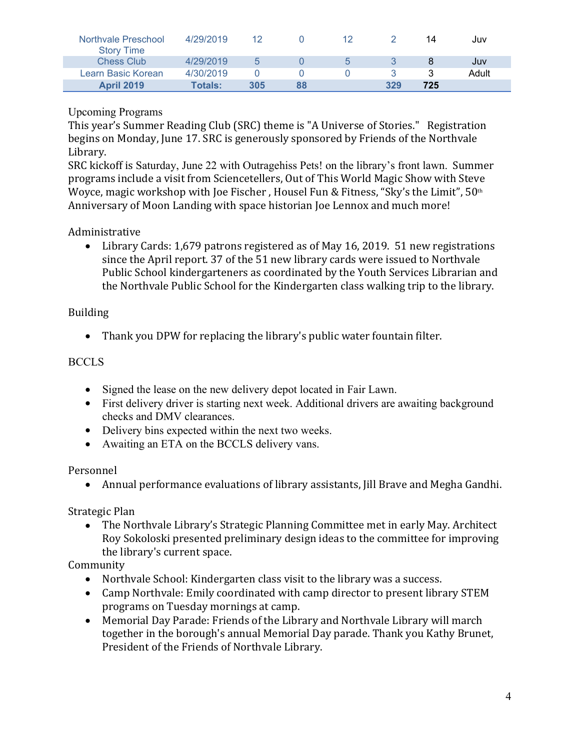| Northvale Preschool<br><b>Story Time</b> | 4/29/2019      |     |    |             |     | 14  | Juv   |
|------------------------------------------|----------------|-----|----|-------------|-----|-----|-------|
| <b>Chess Club</b>                        | 4/29/2019      | h   |    | $5^{\circ}$ |     |     | Juv   |
| Learn Basic Korean                       | 4/30/2019      |     |    |             |     |     | Adult |
| <b>April 2019</b>                        | <b>Totals:</b> | 305 | 88 |             | 329 | 725 |       |

# Upcoming Programs

This year's Summer Reading Club (SRC) theme is "A Universe of Stories." Registration begins on Monday, June 17. SRC is generously sponsored by Friends of the Northvale Library.

SRC kickoff is Saturday, June 22 with Outragehiss Pets! on the library's front lawn. Summer programs include a visit from Sciencetellers, Out of This World Magic Show with Steve Woyce, magic workshop with Joe Fischer, Housel Fun & Fitness, "Sky's the Limit",  $50<sup>th</sup>$ Anniversary of Moon Landing with space historian Joe Lennox and much more!

# Administrative

• Library Cards: 1,679 patrons registered as of May 16, 2019. 51 new registrations since the April report. 37 of the 51 new library cards were issued to Northvale Public School kindergarteners as coordinated by the Youth Services Librarian and the Northvale Public School for the Kindergarten class walking trip to the library.

# Building

Thank you DPW for replacing the library's public water fountain filter.

# **BCCLS**

- Signed the lease on the new delivery depot located in Fair Lawn.
- First delivery driver is starting next week. Additional drivers are awaiting background checks and DMV clearances.
- Delivery bins expected within the next two weeks.
- Awaiting an ETA on the BCCLS delivery vans.

Personnel

Annual performance evaluations of library assistants, Jill Brave and Megha Gandhi.

Strategic Plan

 The Northvale Library's Strategic Planning Committee met in early May. Architect Roy Sokoloski presented preliminary design ideas to the committee for improving the library's current space.

Community

- Northvale School: Kindergarten class visit to the library was a success.
- Camp Northvale: Emily coordinated with camp director to present library STEM programs on Tuesday mornings at camp.
- Memorial Day Parade: Friends of the Library and Northvale Library will march together in the borough's annual Memorial Day parade. Thank you Kathy Brunet, President of the Friends of Northvale Library.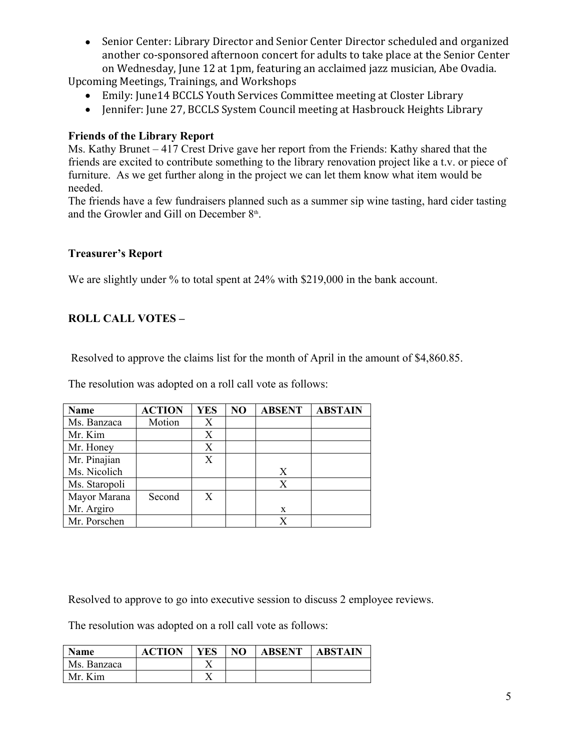Senior Center: Library Director and Senior Center Director scheduled and organized another co-sponsored afternoon concert for adults to take place at the Senior Center on Wednesday, June 12 at 1pm, featuring an acclaimed jazz musician, Abe Ovadia.

Upcoming Meetings, Trainings, and Workshops

- Emily: June14 BCCLS Youth Services Committee meeting at Closter Library
- Jennifer: June 27, BCCLS System Council meeting at Hasbrouck Heights Library

## **Friends of the Library Report**

Ms. Kathy Brunet – 417 Crest Drive gave her report from the Friends: Kathy shared that the friends are excited to contribute something to the library renovation project like a t.v. or piece of furniture. As we get further along in the project we can let them know what item would be needed.

The friends have a few fundraisers planned such as a summer sip wine tasting, hard cider tasting and the Growler and Gill on December 8<sup>th</sup>. .

### **Treasurer's Report**

We are slightly under % to total spent at 24% with \$219,000 in the bank account.

## **ROLL CALL VOTES –**

Resolved to approve the claims list for the month of April in the amount of \$4,860.85.

The resolution was adopted on a roll call vote as follows:

| <b>Name</b>   | <b>ACTION</b> | <b>YES</b> | NO | <b>ABSENT</b> | <b>ABSTAIN</b> |
|---------------|---------------|------------|----|---------------|----------------|
| Ms. Banzaca   | Motion        | X          |    |               |                |
| Mr. Kim       |               | X          |    |               |                |
| Mr. Honey     |               | X          |    |               |                |
| Mr. Pinajian  |               | X          |    |               |                |
| Ms. Nicolich  |               |            |    | X             |                |
| Ms. Staropoli |               |            |    | X             |                |
| Mayor Marana  | Second        | X          |    |               |                |
| Mr. Argiro    |               |            |    | X             |                |
| Mr. Porschen  |               |            |    |               |                |

Resolved to approve to go into executive session to discuss 2 employee reviews.

The resolution was adopted on a roll call vote as follows:

| Name        | <b>ACTION</b> | <b>YES</b> | N <sub>O</sub> | <b>ABSENT</b> | <b>ABSTAIN</b> |
|-------------|---------------|------------|----------------|---------------|----------------|
| Ms. Banzaca |               | ∡⊾         |                |               |                |
| Mr. Kim     |               | ∡⊾         |                |               |                |